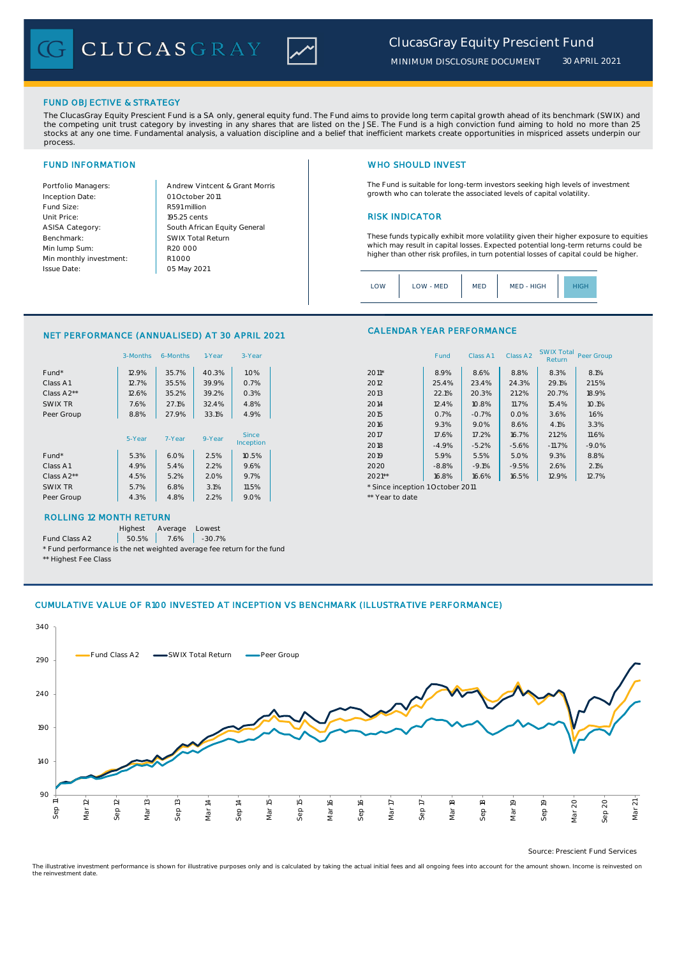CLUCASGRAY



## FUND OBJECTIVE & STRATEGY

The ClucasGray Equity Prescient Fund is a SA only, general equity fund. The Fund aims to provide long term capital growth ahead of its benchmark (SWIX) and<br>the competing unit trust category by investing in any shares that stocks at any one time. Fundamental analysis, a valuation discipline and a belief that inefficient markets create opportunities in mispriced assets underpin our process.

Inception Date: Fund Size: R591 million ASISA Category: Benchmark: Min lump Sum: Min monthly investment: Issue Date:

Portfolio Managers: <br>Andrew Vintcent & Grant Morris Unit Price: 195.25 cents 2014 195.25 cents 2014 195.25 cents 2014 195.25 cents 2014 195.25 cents 2014 195.25 cents South African Equity General 195.25 cents R1 000 01 October 2011 05 May 2021 R20 000 SWIX Total Return

# FUND INFORMATION NETWORK IN THE SERVICE OF THE SERVICE OF THE WHO SHOULD INVEST

The Fund is suitable for long-term investors seeking high levels of investment growth who can tolerate the associated levels of capital volatility.

These funds typically exhibit more volatility given their higher exposure to equities which may result in capital losses. Expected potential long-term returns could be higher than other risk profiles, in turn potential losses of capital could be higher.

Class A1 Class A2 SWIX Total Peer Group

| LOW<br>MED - HIGH<br>LOW - MED<br><b>MED</b> | IIGF |
|----------------------------------------------|------|
|----------------------------------------------|------|

CALENDAR YEAR PERFORMANCE

### NET PERFORMANCE (ANNUALISED) AT 30 APRIL 2021

|            | 3-Months | 6-Months | 1-Year | 3-Year    |                                  | Fund    | Class A1 | Class A <sub>2</sub> | <b>SWIX Total</b><br>Return | Peer Gro |
|------------|----------|----------|--------|-----------|----------------------------------|---------|----------|----------------------|-----------------------------|----------|
| Fund*      | 12.9%    | 35.7%    | 40.3%  | 1.0%      | $2011*$                          | 8.9%    | 8.6%     | 8.8%                 | 8.3%                        | 8.1%     |
| Class A1   | 12.7%    | 35.5%    | 39.9%  | 0.7%      | 2012                             | 25.4%   | 23.4%    | 24.3%                | 29.1%                       | 21.5%    |
| Class A2** | 12.6%    | 35.2%    | 39.2%  | 0.3%      | 2013                             | 22.1%   | 20.3%    | 21.2%                | 20.7%                       | 18.9%    |
| SWIX TR    | 7.6%     | 27.1%    | 32.4%  | 4.8%      | 2014                             | 12.4%   | 10.8%    | 11.7%                | 15.4%                       | 10.1%    |
| Peer Group | 8.8%     | 27.9%    | 33.1%  | 4.9%      | 2015                             | 0.7%    | $-0.7%$  | 0.0%                 | 3.6%                        | 1.6%     |
|            |          |          |        |           | 2016                             | 9.3%    | 9.0%     | 8.6%                 | 4.1%                        | 3.3%     |
|            | 5-Year   | 7-Year   | 9-Year | Since     | 2017                             | 17.6%   | 17.2%    | 16.7%                | 21.2%                       | 11.6%    |
|            |          |          |        | Inception | 2018                             | $-4.9%$ | $-5.2%$  | $-5.6%$              | $-11.7%$                    | $-9.0%$  |
| Fund*      | 5.3%     | 6.0%     | 2.5%   | 10.5%     | 2019                             | 5.9%    | 5.5%     | 5.0%                 | 9.3%                        | 8.8%     |
| Class A1   | 4.9%     | 5.4%     | 2.2%   | 9.6%      | 2020                             | $-8.8%$ | $-9.1%$  | $-9.5%$              | 2.6%                        | 2.1%     |
| Class A2** | 4.5%     | 5.2%     | 2.0%   | 9.7%      | $2021**$                         | 16.8%   | 16.6%    | 16.5%                | 12.9%                       | 12.7%    |
| SWIX TR    | 5.7%     | 6.8%     | 3.1%   | 11.5%     | * Since inception 1 October 2011 |         |          |                      |                             |          |
| Peer Group | 4.3%     | 4.8%     | 2.2%   | 9.0%      | ** Year to date                  |         |          |                      |                             |          |
|            |          |          |        |           |                                  |         |          |                      |                             |          |

# ROLLING 12 MONTH RETURN

Highest Average Lowest

Fund Class A2  $\begin{array}{|c|c|c|c|c|} \hline \text{50.5\%} & \text{7.6\%} & \text{-30.7\%} \hline \end{array}$ 

\* Fund performance is the net weighted average fee return for the fund \*\* Highest Fee Class

# CUMULATIVE VALUE OF R100 INVESTED AT INCEPTION VS BENCHMARK (ILLUSTRATIVE PERFORMANCE)



Source: Prescient Fund Services

The illustrative investment performance is shown for illustrative purposes only and is calculated by taking the actual initial fees and all ongoing fees into account for the amount shown. Income is reinvested on the reinvestment date.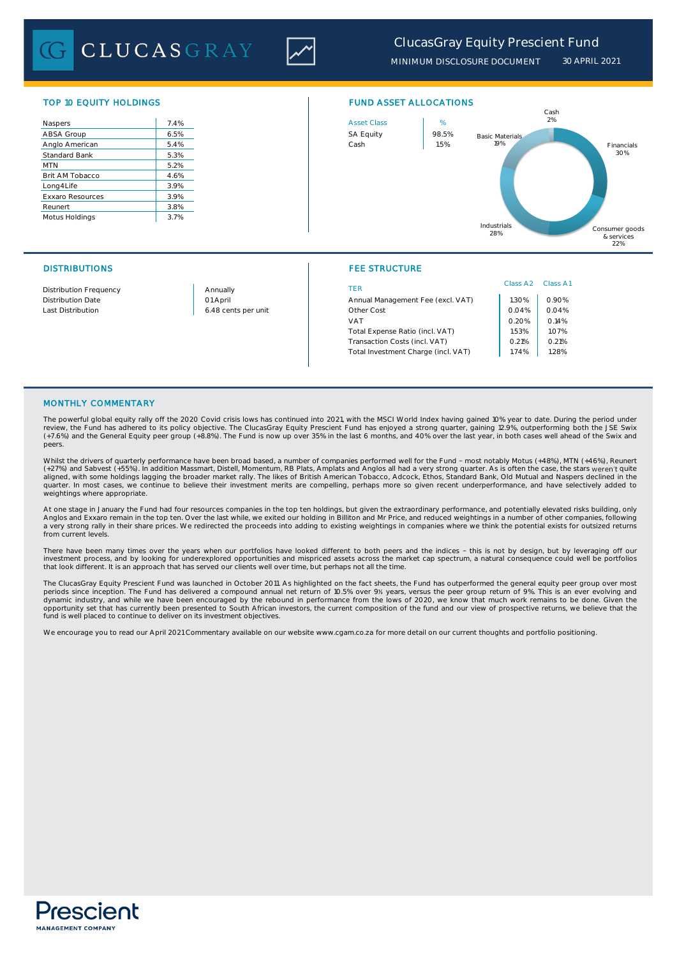**CLUCASGRAY** 



*MINIMUM DISCLOSURE DOCUMENT 30 APRIL 2021*

| Naspers                 | 7.4% |
|-------------------------|------|
| ABSA Group              | 6.5% |
| Anglo American          | 5.4% |
| <b>Standard Bank</b>    | 5.3% |
| <b>MTN</b>              | 5.2% |
| Brit AM Tobacco         | 4.6% |
| Long4Life               | 3.9% |
| <b>Exxaro Resources</b> | 3.9% |
| Reunert                 | 3.8% |
| Motus Holdings          | 3.7% |



# DISTRIBUTIONS FEE STRUCTURE

|                               |                     |                                     | Class A <sub>2</sub> | Class A |
|-------------------------------|---------------------|-------------------------------------|----------------------|---------|
| <b>Distribution Frequency</b> | Annually            | TFR                                 |                      |         |
| <b>Distribution Date</b>      | 01 April            | Annual Management Fee (excl. VAT)   | .30%                 | 0.90%   |
| Last Distribution             | 6.48 cents per unit | Other Cost                          | 0.04%                | 0.04%   |
|                               |                     | VAT                                 | 0.20%                | 0.14%   |
|                               |                     | Total Expense Ratio (incl. VAT)     | .53%                 | 1.07%   |
|                               |                     | Transaction Costs (incl. VAT)       | 0.21%                | 0.21%   |
|                               |                     | Total Investment Charge (incl. VAT) | 1.74%                | 1.28%   |
|                               |                     |                                     |                      |         |

### MONTHLY COMMENTARY

The powerful global equity rally off the 2020 Covid crisis lows has continued into 2021, with the MSCI World Index having gained 10% year to date. During the period under review, the Fund has adhered to its policy objective. The ClucasGray Equity Prescient Fund has enjoyed a strong quarter, gaining 12.9%, outperforming both the JSE Swix (+7.6%) and the General Equity peer group (+8.8%). The Fund is now up over 35% in the last 6 months, and 40% over the last year, in both cases well ahead of the Swix and peers.

Whilst the drivers of quarterly performance have been broad based, a number of companies performed well for the Fund - most notably Motus (+48%), MTN (+46%), Reunert<br>(+27%) and Sabvest (+55%). In addition Massmart, Distell aligned, with some holdings lagging the broader market rally. The likes of British American Tobacco, Adcock, Ethos, Standard Bank, Old Mutual and Naspers declined in the<br>quarter. In most cases, we continue to believe their weightings where appropriate.

At one stage in January the Fund had four resources companies in the top ten holdings, but given the extraordinary performance, and potentially elevated risks building, only Anglos and Exxaro remain in the top ten. Over the last while, we exited our holding in Billiton and Mr Price, and reduced weightings in a number of other companies, following<br>a very strong rally in their share prices. We r from current levels.

There have been many times over the years when our portfolios have looked different to both peers and the indices - this is not by design, but by leveraging off our<br>investment process, and by looking for underexplored oppo that look different. It is an approach that has served our clients well over time, but perhaps not all the time.

The ClucasGray Equity Prescient Fund was launched in October 2011. As highlighted on the fact sheets, the Fund has outperformed the general equity peer group over most<br>periods since inception. The Fund has delivered a comp opportunity set that has currently been presented to South African investors, the current composition of the fund and our view of prospective returns, we believe that the<br>fund is well placed to continue to deliver on its i

We encourage you to read our April 2021 Commentary available on our website www.cgam.co.za for more detail on our current thoughts and portfolio positioning.